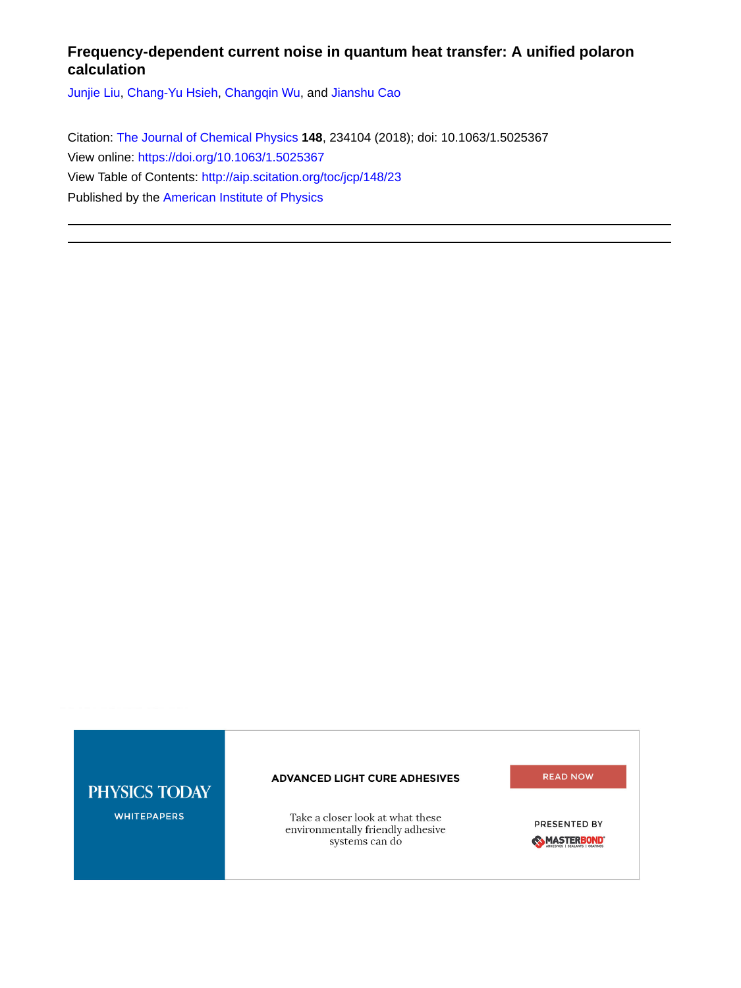# **Frequency-dependent current noise in quantum heat transfer: A unified polaron calculation**

[Junjie Liu](http://aip.scitation.org/author/Liu%2C+Junjie), [Chang-Yu Hsieh,](http://aip.scitation.org/author/Hsieh%2C+Chang-Yu) [Changqin Wu,](http://aip.scitation.org/author/Wu%2C+Changqin) and [Jianshu Cao](http://aip.scitation.org/author/Cao%2C+Jianshu)

Citation: [The Journal of Chemical Physics](/loi/jcp) **148**, 234104 (2018); doi: 10.1063/1.5025367 View online: <https://doi.org/10.1063/1.5025367> View Table of Contents: <http://aip.scitation.org/toc/jcp/148/23> Published by the [American Institute of Physics](http://aip.scitation.org/publisher/)

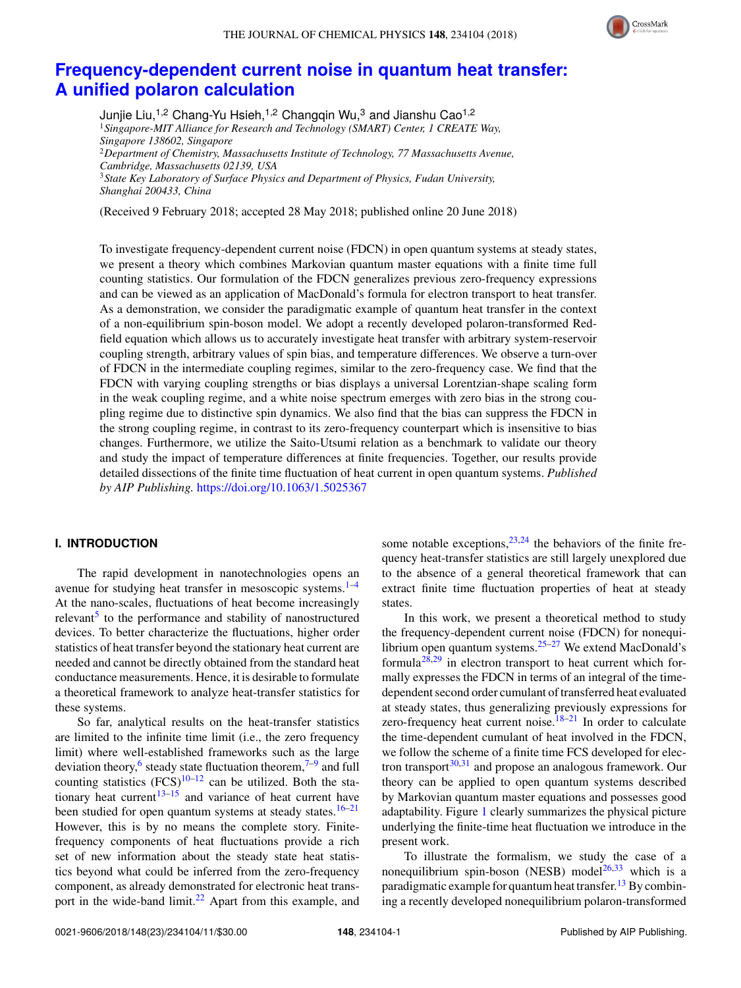

# **[Frequency-dependent current noise in quantum heat transfer:](https://doi.org/10.1063/1.5025367) [A unified polaron calculation](https://doi.org/10.1063/1.5025367)**

Junjie Liu,<sup>1,2</sup> Chang-Yu Hsieh,<sup>1,2</sup> Changqin Wu,<sup>3</sup> and Jianshu Cao<sup>1,2</sup> <sup>1</sup>*Singapore-MIT Alliance for Research and Technology (SMART) Center, 1 CREATE Way, Singapore 138602, Singapore* <sup>2</sup>*Department of Chemistry, Massachusetts Institute of Technology, 77 Massachusetts Avenue, Cambridge, Massachusetts 02139, USA* <sup>3</sup>*State Key Laboratory of Surface Physics and Department of Physics, Fudan University, Shanghai 200433, China*

(Received 9 February 2018; accepted 28 May 2018; published online 20 June 2018)

To investigate frequency-dependent current noise (FDCN) in open quantum systems at steady states, we present a theory which combines Markovian quantum master equations with a finite time full counting statistics. Our formulation of the FDCN generalizes previous zero-frequency expressions and can be viewed as an application of MacDonald's formula for electron transport to heat transfer. As a demonstration, we consider the paradigmatic example of quantum heat transfer in the context of a non-equilibrium spin-boson model. We adopt a recently developed polaron-transformed Redfield equation which allows us to accurately investigate heat transfer with arbitrary system-reservoir coupling strength, arbitrary values of spin bias, and temperature differences. We observe a turn-over of FDCN in the intermediate coupling regimes, similar to the zero-frequency case. We find that the FDCN with varying coupling strengths or bias displays a universal Lorentzian-shape scaling form in the weak coupling regime, and a white noise spectrum emerges with zero bias in the strong coupling regime due to distinctive spin dynamics. We also find that the bias can suppress the FDCN in the strong coupling regime, in contrast to its zero-frequency counterpart which is insensitive to bias changes. Furthermore, we utilize the Saito-Utsumi relation as a benchmark to validate our theory and study the impact of temperature differences at finite frequencies. Together, our results provide detailed dissections of the finite time fluctuation of heat current in open quantum systems. *Published by AIP Publishing.* <https://doi.org/10.1063/1.5025367>

# **I. INTRODUCTION**

The rapid development in nanotechnologies opens an avenue for studying heat transfer in mesoscopic systems. $1-4$  $1-4$ At the nano-scales, fluctuations of heat become increasingly relevant<sup>[5](#page-10-2)</sup> to the performance and stability of nanostructured devices. To better characterize the fluctuations, higher order statistics of heat transfer beyond the stationary heat current are needed and cannot be directly obtained from the standard heat conductance measurements. Hence, it is desirable to formulate a theoretical framework to analyze heat-transfer statistics for these systems.

So far, analytical results on the heat-transfer statistics are limited to the infinite time limit (i.e., the zero frequency limit) where well-established frameworks such as the large deviation theory,<sup>[6](#page-10-3)</sup> steady state fluctuation theorem,<sup>[7–](#page-10-4)[9](#page-10-5)</sup> and full counting statistics  $(FCS)^{10-12}$  $(FCS)^{10-12}$  $(FCS)^{10-12}$  can be utilized. Both the sta-tionary heat current<sup>[13–](#page-10-8)[15](#page-10-9)</sup> and variance of heat current have been studied for open quantum systems at steady states.<sup>[16](#page-10-10)[–21](#page-10-11)</sup> However, this is by no means the complete story. Finitefrequency components of heat fluctuations provide a rich set of new information about the steady state heat statistics beyond what could be inferred from the zero-frequency component, as already demonstrated for electronic heat trans-port in the wide-band limit.<sup>[22](#page-10-12)</sup> Apart from this example, and some notable exceptions, $23,24$  $23,24$  the behaviors of the finite frequency heat-transfer statistics are still largely unexplored due to the absence of a general theoretical framework that can extract finite time fluctuation properties of heat at steady states.

In this work, we present a theoretical method to study the frequency-dependent current noise (FDCN) for nonequilibrium open quantum systems.[25](#page-10-15)[–27](#page-10-16) We extend MacDonald's formula<sup>[28](#page-10-17)[,29](#page-10-18)</sup> in electron transport to heat current which formally expresses the FDCN in terms of an integral of the timedependent second order cumulant of transferred heat evaluated at steady states, thus generalizing previously expressions for zero-frequency heat current noise. $18-21$  $18-21$  In order to calculate the time-dependent cumulant of heat involved in the FDCN, we follow the scheme of a finite time FCS developed for electron transport $30,31$  $30,31$  and propose an analogous framework. Our theory can be applied to open quantum systems described by Markovian quantum master equations and possesses good adaptability. Figure [1](#page-2-0) clearly summarizes the physical picture underlying the finite-time heat fluctuation we introduce in the present work.

To illustrate the formalism, we study the case of a nonequilibrium spin-boson (NESB) model<sup>[26](#page-10-22)[,33](#page-10-23)</sup> which is a paradigmatic example for quantum heat transfer.<sup>[13](#page-10-8)</sup> By combining a recently developed nonequilibrium polaron-transformed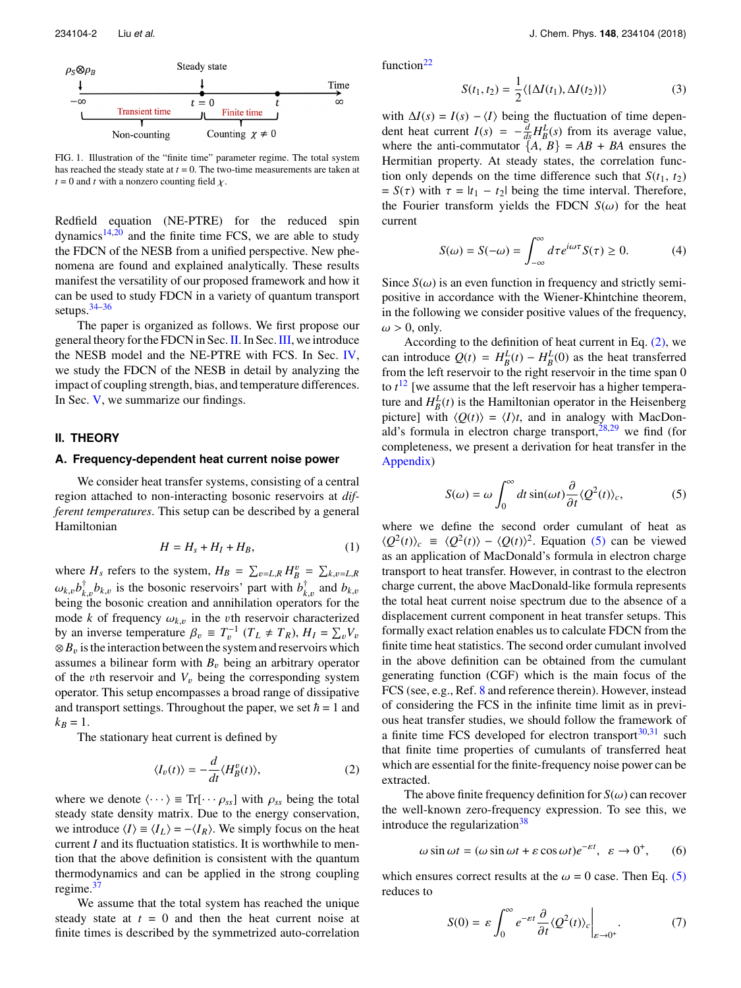<span id="page-2-0"></span>

FIG. 1. Illustration of the "finite time" parameter regime. The total system has reached the steady state at *t* = 0. The two-time measurements are taken at  $t = 0$  and *t* with a nonzero counting field  $\chi$ .

Redfield equation (NE-PTRE) for the reduced spin dynamics $14,20$  $14,20$  and the finite time FCS, we are able to study the FDCN of the NESB from a unified perspective. New phenomena are found and explained analytically. These results manifest the versatility of our proposed framework and how it can be used to study FDCN in a variety of quantum transport setups.[34](#page-10-26)[–36](#page-10-27)

The paper is organized as follows. We first propose our general theory for the FDCN in Sec.[II.](#page-2-1) In Sec.[III,](#page-4-0) we introduce the NESB model and the NE-PTRE with FCS. In Sec. [IV,](#page-5-0) we study the FDCN of the NESB in detail by analyzing the impact of coupling strength, bias, and temperature differences. In Sec. [V,](#page-9-0) we summarize our findings.

### <span id="page-2-1"></span>**II. THEORY**

#### **A. Frequency-dependent heat current noise power**

We consider heat transfer systems, consisting of a central region attached to non-interacting bosonic reservoirs at *different temperatures*. This setup can be described by a general Hamiltonian

$$
H = H_s + H_I + H_B,\tag{1}
$$

where  $H_s$  refers to the system,  $H_B = \sum_{v=L,R} H_B^v = \sum_{k,v=L,R}$  $\omega_{k,v}b_{k,v}^{\dagger}b_{k,v}$  is the bosonic reservoirs' part with  $b_{k,v}^{\dagger}$  and  $b_{k,v}$  and  $b_{k,v}$  $\omega_{k,v} \nu_{k,v} \nu_{k,v}$  is the bosonic reservoirs part with  $\nu_{k,v}$  and  $\nu_{k,v}$  being the bosonic creation and annihilation operators for the mode *k* of frequency  $\omega_{k,v}$  in the *v*th reservoir characterized by an inverse temperature  $\beta_v \equiv T_v^{-1} (T_L \neq T_R)$ ,  $H_I = \sum_v V_v$ <br>  $\otimes R$  is the interaction between the system and reservoirs which  $\otimes B_v$  is the interaction between the system and reservoirs which assumes a bilinear form with  $B<sub>v</sub>$  being an arbitrary operator of the *v*th reservoir and  $V_v$  being the corresponding system operator. This setup encompasses a broad range of dissipative and transport settings. Throughout the paper, we set  $\hbar = 1$  and  $k_B = 1$ .

The stationary heat current is defined by

<span id="page-2-2"></span>
$$
\langle I_v(t) \rangle = -\frac{d}{dt} \langle H_B^v(t) \rangle, \tag{2}
$$

where we denote  $\langle \cdots \rangle \equiv Tr[\cdots \rho_{ss}]$  with  $\rho_{ss}$  being the total steady state density matrix. Due to the energy conservation, we introduce  $\langle I \rangle \equiv \langle I_L \rangle = -\langle I_R \rangle$ . We simply focus on the heat current *I* and its fluctuation statistics. It is worthwhile to mention that the above definition is consistent with the quantum thermodynamics and can be applied in the strong coupling regime.<sup>[37](#page-10-28)</sup>

We assume that the total system has reached the unique steady state at  $t = 0$  and then the heat current noise at finite times is described by the symmetrized auto-correlation

234104-2 Liu *et al.* J. Chem. Phys. **148**, 234104 (2018)

function $22$ 

$$
S(t_1, t_2) = \frac{1}{2} \langle {\Delta I(t_1), \Delta I(t_2)} \rangle \tag{3}
$$

with  $\Delta I(s) = I(s) - \langle I \rangle$  being the fluctuation of time dependent heat current  $I(s) = -\frac{d}{ds} H_B^L(s)$  from its average value, where the anti-commutator  ${A, B} = AB + BA$  ensures the Hermitian property. At steady states, the correlation function only depends on the time difference such that  $S(t_1, t_2)$ =  $S(\tau)$  with  $\tau = |t_1 - t_2|$  being the time interval. Therefore, the Fourier transform yields the FDCN  $S(\omega)$  for the heat current

$$
S(\omega) = S(-\omega) = \int_{-\infty}^{\infty} d\tau e^{i\omega \tau} S(\tau) \ge 0.
$$
 (4)

Since  $S(\omega)$  is an even function in frequency and strictly semipositive in accordance with the Wiener-Khintchine theorem, in the following we consider positive values of the frequency,  $\omega > 0$ , only.

According to the definition of heat current in Eq.  $(2)$ , we can introduce  $Q(t) = H_B^L(t) - H_B^L(0)$  as the heat transferred from the left reservoir to the right reservoir in the time span 0 to *t* [12](#page-10-7) [we assume that the left reservoir has a higher temperature and  $H_B^L(t)$  is the Hamiltonian operator in the Heisenberg picture] with  $\langle Q(t) \rangle = \langle I \rangle t$ , and in analogy with MacDonald's formula in electron charge transport,  $28,29$  $28,29$  we find (for completeness, we present a derivation for heat transfer in the [Appendix\)](#page-10-29)

<span id="page-2-3"></span>
$$
S(\omega) = \omega \int_0^{\infty} dt \sin(\omega t) \frac{\partial}{\partial t} \langle Q^2(t) \rangle_c, \tag{5}
$$

where we define the second order cumulant of heat as  $\langle Q^2(t)\rangle_c \equiv \langle Q^2(t)\rangle - \langle Q(t)\rangle^2$ . Equation [\(5\)](#page-2-3) can be viewed as an application of MacDonald's formula in electron charge transport to heat transfer. However, in contrast to the electron charge current, the above MacDonald-like formula represents the total heat current noise spectrum due to the absence of a displacement current component in heat transfer setups. This formally exact relation enables us to calculate FDCN from the finite time heat statistics. The second order cumulant involved in the above definition can be obtained from the cumulant generating function (CGF) which is the main focus of the FCS (see, e.g., Ref. [8](#page-10-30) and reference therein). However, instead of considering the FCS in the infinite time limit as in previous heat transfer studies, we should follow the framework of a finite time FCS developed for electron transport $30,31$  $30,31$  such that finite time properties of cumulants of transferred heat which are essential for the finite-frequency noise power can be extracted.

The above finite frequency definition for  $S(\omega)$  can recover the well-known zero-frequency expression. To see this, we introduce the regularization $38$ 

$$
\omega \sin \omega t = (\omega \sin \omega t + \varepsilon \cos \omega t)e^{-\varepsilon t}, \ \varepsilon \to 0^+, \qquad (6)
$$

which ensures correct results at the  $\omega = 0$  case. Then Eq. [\(5\)](#page-2-3) reduces to

$$
S(0) = \varepsilon \int_0^\infty e^{-\varepsilon t} \frac{\partial}{\partial t} \langle Q^2(t) \rangle_c \bigg|_{\varepsilon \to 0^+}.
$$
 (7)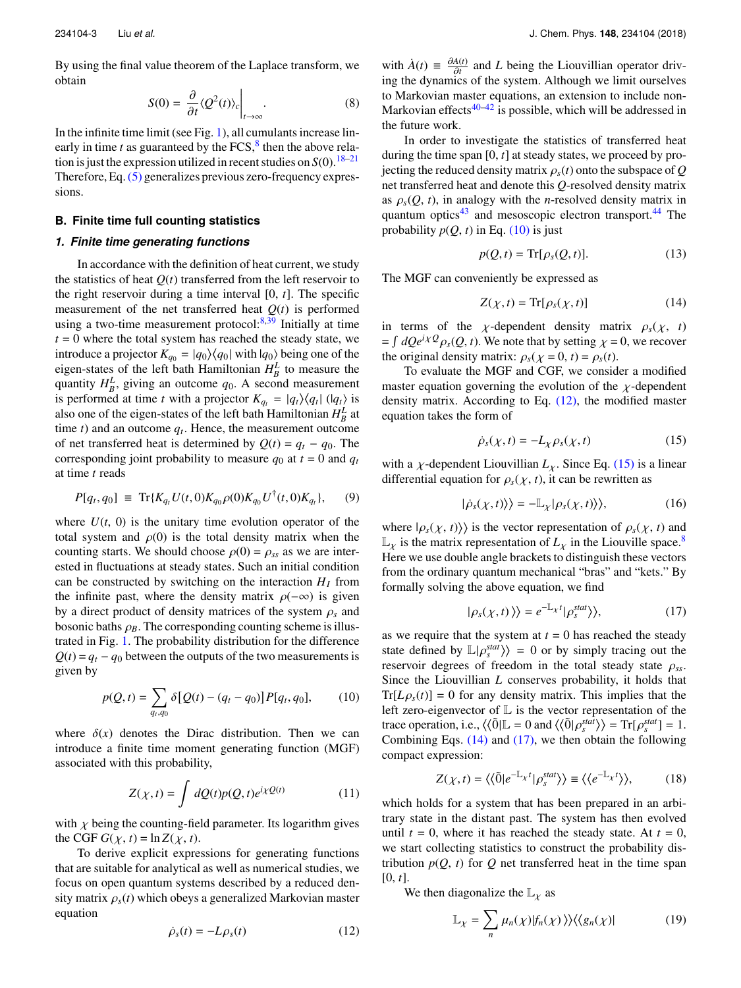By using the final value theorem of the Laplace transform, we obtain  $\overline{1}$ 

<span id="page-3-5"></span>
$$
S(0) = \frac{\partial}{\partial t} \langle Q^2(t) \rangle_c \Big|_{t \to \infty}.
$$
 (8)

In the infinite time limit (see Fig. [1\)](#page-2-0), all cumulants increase linearly in time  $t$  as guaranteed by the FCS, $<sup>8</sup>$  $<sup>8</sup>$  $<sup>8</sup>$  then the above rela-</sup> tion is just the expression utilized in recent studies on  $S(0)$ .<sup>[18](#page-10-19)[–21](#page-10-11)</sup> Therefore, Eq.[\(5\)](#page-2-3) generalizes previous zero-frequency expressions.

# **B. Finite time full counting statistics**

# *1. Finite time generating functions*

In accordance with the definition of heat current, we study the statistics of heat  $Q(t)$  transferred from the left reservoir to the right reservoir during a time interval [0, *t*]. The specific measurement of the net transferred heat  $Q(t)$  is performed using a two-time measurement protocol: $8,39$  $8,39$  Initially at time  $t = 0$  where the total system has reached the steady state, we introduce a projector  $K_{q_0} = |q_0\rangle\langle q_0|$  with  $|q_0\rangle$  being one of the eigen-states of the left bath Hamiltonian  $H_B^L$  to measure the quantity  $H_B^L$ , giving an outcome  $q_0$ . A second measurement is performed at time *t* with a projector  $K_{q_t} = |q_t\rangle\langle q_t| (|q_t\rangle)$  is also one of the eigen-states of the left bath Hamiltonian  $H_B^L$  at time  $t$ ) and an outcome  $q_t$ . Hence, the measurement outcome of net transferred heat is determined by  $Q(t) = q_t - q_0$ . The corresponding joint probability to measure  $q_0$  at  $t = 0$  and  $q_t$ at time *t* reads

$$
P[q_t, q_0] \equiv \text{Tr}\{K_{q_t} U(t, 0) K_{q_0} \rho(0) K_{q_0} U^{\dagger}(t, 0) K_{q_t}\}, \qquad (9)
$$

where  $U(t, 0)$  is the unitary time evolution operator of the total system and  $\rho(0)$  is the total density matrix when the counting starts. We should choose  $\rho(0) = \rho_{ss}$  as we are interested in fluctuations at steady states. Such an initial condition can be constructed by switching on the interaction  $H_I$  from the infinite past, where the density matrix  $\rho(-\infty)$  is given by a direct product of density matrices of the system <sup>ρ</sup>*<sup>s</sup>* and bosonic baths  $\rho_B$ . The corresponding counting scheme is illustrated in Fig. [1.](#page-2-0) The probability distribution for the difference  $Q(t) = q_t - q_0$  between the outputs of the two measurements is given by

<span id="page-3-0"></span>
$$
p(Q, t) = \sum_{q_t, q_0} \delta [Q(t) - (q_t - q_0)] P[q_t, q_0], \qquad (10)
$$

where  $\delta(x)$  denotes the Dirac distribution. Then we can introduce a finite time moment generating function (MGF) associated with this probability,

$$
Z(\chi, t) = \int dQ(t)p(Q, t)e^{i\chi Q(t)} \tag{11}
$$

with  $\chi$  being the counting-field parameter. Its logarithm gives the CGF  $G(\chi, t) = \ln Z(\chi, t)$ .

To derive explicit expressions for generating functions that are suitable for analytical as well as numerical studies, we focus on open quantum systems described by a reduced density matrix  $\rho_s(t)$  which obeys a generalized Markovian master equation

<span id="page-3-1"></span>
$$
\dot{\rho}_s(t) = -L\rho_s(t) \tag{12}
$$

with  $\dot{A}(t) \equiv \frac{\partial A(t)}{\partial t}$  and *L* being the Liouvillian operator driv- $\partial_t$  in  $\partial_t$  and *L* being the Elouvinan operator driv-<br>ing the dynamics of the system. Although we limit ourselves to Markovian master equations, an extension to include non-Markovian effects $40-42$  $40-42$  is possible, which will be addressed in the future work.

In order to investigate the statistics of transferred heat during the time span [0, *t*] at steady states, we proceed by projecting the reduced density matrix  $\rho_s(t)$  onto the subspace of Q net transferred heat and denote this *Q*-resolved density matrix as  $\rho_s(Q, t)$ , in analogy with the *n*-resolved density matrix in quantum optics $43$  and mesoscopic electron transport.  $44$  The probability  $p(Q, t)$  in Eq. [\(10\)](#page-3-0) is just

$$
p(Q, t) = \text{Tr}[\rho_s(Q, t)].
$$
\n(13)

The MGF can conveniently be expressed as

<span id="page-3-3"></span>
$$
Z(\chi, t) = \text{Tr}[\rho_s(\chi, t)] \tag{14}
$$

in terms of the *χ*-dependent density matrix  $\rho_s(\chi, t)$  $= \int dQ e^{i\chi} \mathcal{Q}_{\rho_s}(Q, t)$ . We note that by setting  $\chi = 0$ , we recover the original density matrix:  $\rho_s(\chi = 0, t) = \rho_s(t)$ .

To evaluate the MGF and CGF, we consider a modified master equation governing the evolution of the  $\chi$ -dependent density matrix. According to Eq.  $(12)$ , the modified master equation takes the form of

<span id="page-3-2"></span>
$$
\dot{\rho}_s(\chi, t) = -L_{\chi} \rho_s(\chi, t) \tag{15}
$$

with a *χ*-dependent Liouvillian  $L<sub>\chi</sub>$ . Since Eq. [\(15\)](#page-3-2) is a linear differential equation for  $\rho_s(\chi, t)$ , it can be rewritten as

$$
|\dot{\rho}_s(\chi,t)\rangle\rangle = -\mathbb{L}_{\chi}|\rho_s(\chi,t)\rangle\rangle,\tag{16}
$$

where  $|\rho_s(\chi, t)\rangle$  is the vector representation of  $\rho_s(\chi, t)$  and  $\mathbb{I}$  is the matrix representation of  $I$  in the Liquille space  $\delta$  $\mathbb{L}_\chi$  is the matrix representation of  $L_\chi$  in the Liouville space.<sup>[8](#page-10-30)</sup> Here we use double angle brackets to distinguish these vectors from the ordinary quantum mechanical "bras" and "kets." By formally solving the above equation, we find

<span id="page-3-4"></span>
$$
|\rho_{s}(\chi,t)\rangle\rangle = e^{-\mathbb{L}_{\chi}t}|\rho_{s}^{stat}\rangle\rangle, \tag{17}
$$

as we require that the system at  $t = 0$  has reached the steady state defined by  $\mathbb{L}|\rho_s^{stat}\rangle = 0$  or by simply tracing out the reservoir degrees of freedom in the total steady state  $\rho$ reservoir degrees of freedom in the total steady state ρ*ss*. Since the Liouvillian *L* conserves probability, it holds that  $Tr[L\rho<sub>s</sub>(t)] = 0$  for any density matrix. This implies that the left zero-eigenvector of  $\mathbb L$  is the vector representation of the trace operation, i.e.,  $\langle \langle \tilde{0} | L = 0 \text{ and } \langle \langle \tilde{0} | \rho_{s}^{stat} \rangle \rangle = \text{Tr}[\rho_{s}^{stat}] = 1.$ <br>Combining Eqs. (14) and (17), we then obtain the following Combining Eqs.  $(14)$  and  $(17)$ , we then obtain the following compact expression:

$$
Z(\chi, t) = \langle \langle \tilde{0} | e^{-\mathbb{L}_{\chi} t} | \rho_s^{\text{stat}} \rangle \rangle \equiv \langle \langle e^{-\mathbb{L}_{\chi} t} \rangle \rangle, \tag{18}
$$

which holds for a system that has been prepared in an arbitrary state in the distant past. The system has then evolved until  $t = 0$ , where it has reached the steady state. At  $t = 0$ , we start collecting statistics to construct the probability distribution  $p(Q, t)$  for  $Q$  net transferred heat in the time span [0, *t*].

We then diagonalize the  $\mathbb{L}_\chi$  as

$$
\mathbb{L}_{\chi} = \sum_{n} \mu_n(\chi) |f_n(\chi)\rangle \rangle \langle \langle g_n(\chi)| \qquad (19)
$$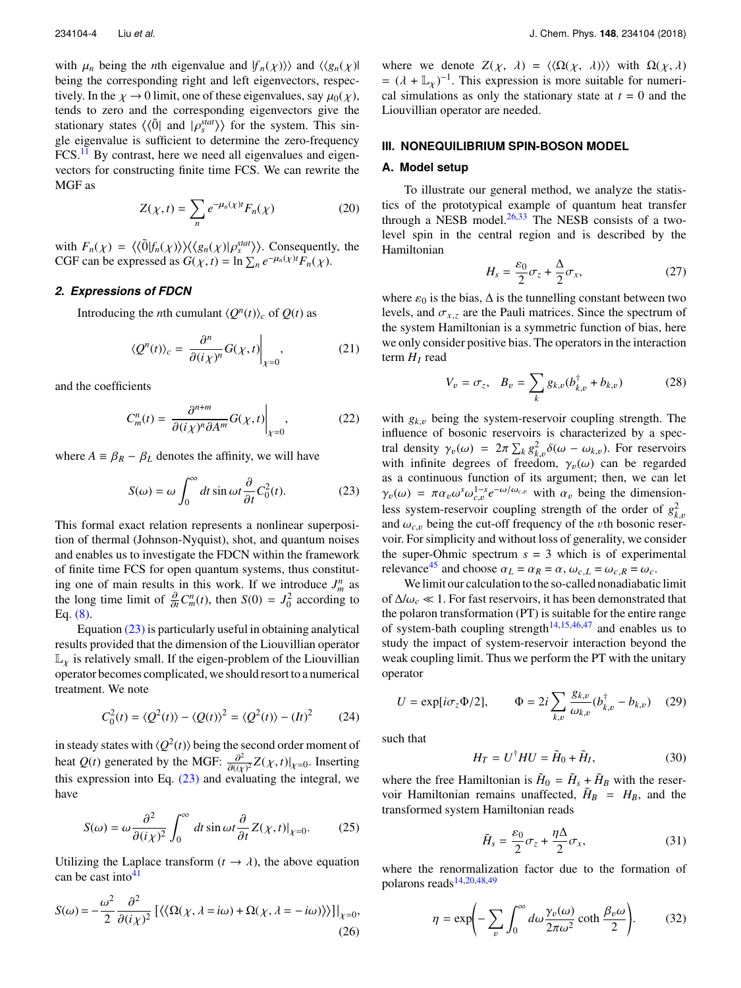with  $\mu_n$  being the *n*th eigenvalue and  $|f_n(\chi)\rangle$  and  $\langle\langle g_n(\chi)|$ being the corresponding right and left eigenvectors, respectively. In the  $\chi \to 0$  limit, one of these eigenvalues, say  $\mu_0(\chi)$ , tends to zero and the corresponding eigenvectors give the stationary states  $\langle \langle 0 \rangle$  and  $| \rho_s^{stat} \rangle$  for the system. This sin-<br>gle eigenvalue is sufficient to determine the zero-frequency gle eigenvalue is sufficient to determine the zero-frequency FCS.<sup>[11](#page-10-37)</sup> By contrast, here we need all eigenvalues and eigenvectors for constructing finite time FCS. We can rewrite the MGF as

<span id="page-4-5"></span>
$$
Z(\chi, t) = \sum_{n} e^{-\mu_n(\chi)t} F_n(\chi)
$$
 (20)

with  $F_n(\chi) = \langle \langle \tilde{0} | f_n(\chi) \rangle \rangle \langle \langle g_n(\chi) | \rho_s^{stat} \rangle \rangle$ . Consequently, the CGF can be expressed as  $G(\chi, t) = \ln \sum_{n} e^{-\mu_n(\chi)t} F_n(\chi)$ .

### *2. Expressions of FDCN*

Introducing the *n*th cumulant  $\langle Q^n(t) \rangle_c$  of  $Q(t)$  as

$$
\langle Q^n(t) \rangle_c = \left. \frac{\partial^n}{\partial (i\chi)^n} G(\chi, t) \right|_{\chi = 0},\tag{21}
$$

and the coefficients

<span id="page-4-7"></span>
$$
C_m^n(t) = \left. \frac{\partial^{n+m}}{\partial (i\chi)^n \partial A^m} G(\chi, t) \right|_{\chi=0},\tag{22}
$$

where  $A \equiv \beta_R - \beta_L$  denotes the affinity, we will have

<span id="page-4-1"></span>
$$
S(\omega) = \omega \int_0^{\infty} dt \sin \omega t \frac{\partial}{\partial t} C_0^2(t).
$$
 (23)

This formal exact relation represents a nonlinear superposition of thermal (Johnson-Nyquist), shot, and quantum noises and enables us to investigate the FDCN within the framework of finite time FCS for open quantum systems, thus constituting one of main results in this work. If we introduce  $J_m^n$  as the long time limit of  $\frac{\partial}{\partial t} C_m^n(t)$ , then  $S(0) = J_0^2$  according to Eq. (8) Eq. [\(8\).](#page-3-5)

Equation [\(23\)](#page-4-1) is particularly useful in obtaining analytical results provided that the dimension of the Liouvillian operator  $\mathbb{L}_\chi$  is relatively small. If the eigen-problem of the Liouvillian operator becomes complicated, we should resort to a numerical treatment. We note

$$
C_0^2(t) = \langle Q^2(t) \rangle - \langle Q(t) \rangle^2 = \langle Q^2(t) \rangle - (It)^2 \tag{24}
$$

in steady states with  $\langle Q^2(t) \rangle$  being the second order moment of heat *Q*(*t*) generated by the MGF:  $\frac{\partial^2}{\partial (i\sigma)}$  $\frac{\partial^2}{\partial (i\chi)^2} Z(\chi, t)|_{\chi=0}$ . Inserting this expression into Eq. [\(23\)](#page-4-1) and evaluating the integral, we have

$$
S(\omega) = \omega \frac{\partial^2}{\partial (i\chi)^2} \int_0^\infty dt \sin \omega t \frac{\partial}{\partial t} Z(\chi, t)|_{\chi=0}.
$$
 (25)

Utilizing the Laplace transform  $(t \to \lambda)$ , the above equation can be cast into  $41$ 

<span id="page-4-4"></span>
$$
S(\omega) = -\frac{\omega^2}{2} \frac{\partial^2}{\partial (i\chi)^2} \left[ \langle \langle \Omega(\chi, \lambda = i\omega) + \Omega(\chi, \lambda = -i\omega) \rangle \rangle \right] \Big|_{\chi = 0},
$$
\n(26)

where we denote  $Z(\chi, \lambda) = \langle \langle \Omega(\chi, \lambda) \rangle \rangle$  with  $\Omega(\chi, \lambda)$  $=(\lambda + \mathbb{L}_{\chi})^{-1}$ . This expression is more suitable for numerical simulations as only the stationary state at  $t = 0$  and the cal simulations as only the stationary state at  $t = 0$  and the Liouvillian operator are needed.

# <span id="page-4-0"></span>**III. NONEQUILIBRIUM SPIN-BOSON MODEL**

# **A. Model setup**

To illustrate our general method, we analyze the statistics of the prototypical example of quantum heat transfer through a NESB model. $26,33$  $26,33$  The NESB consists of a twolevel spin in the central region and is described by the Hamiltonian

<span id="page-4-2"></span>
$$
H_s = \frac{\varepsilon_0}{2}\sigma_z + \frac{\Delta}{2}\sigma_x,\tag{27}
$$

where  $\varepsilon_0$  is the bias,  $\Delta$  is the tunnelling constant between two levels, and  $\sigma_{x,z}$  are the Pauli matrices. Since the spectrum of the system Hamiltonian is a symmetric function of bias, here we only consider positive bias. The operators in the interaction term  $H_I$  read

<span id="page-4-6"></span>
$$
V_v = \sigma_z, \quad B_v = \sum_k g_{k,v} (b_{k,v}^\dagger + b_{k,v})
$$
 (28)

with  $g_{k,v}$  being the system-reservoir coupling strength. The influence of bosonic reservoirs is characterized by a spectral density  $\gamma_v(\omega) = 2\pi \sum_k g_{k,v}^2 \delta(\omega - \omega_{k,v})$ . For reservoirs with infinite degrees of freedom  $\gamma_v(\omega)$  can be regarded with infinite degrees of freedom,  $\gamma_v(\omega)$  can be regarded<br>as a continuous function of its argument; then we can let as a continuous function of its argument; then, we can let  $\gamma_v(\omega) = \pi \alpha_v \omega^s \omega_{c,v}^{1-s} e^{-\omega/\omega_{c,v}}$  with  $\alpha_v$  being the dimension-<br>loss system reception coupling strength of the order of  $\alpha^2$ less system-reservoir coupling strength of the order of  $g_k^2$ and  $\omega_{c,v}$  being the cut-off frequency of the *v*th bosonic reser-<br>voir. For simplicity and without loss of generality, we consider voir. For simplicity and without loss of generality, we consider the super-Ohmic spectrum  $s = 3$  which is of experimental relevance<sup>[45](#page-10-39)</sup> and choose  $\alpha_L = \alpha_R = \alpha$ ,  $\omega_{c,L} = \omega_{c,R} = \omega_c$ .

We limit our calculation to the so-called nonadiabatic limit of <sup>∆</sup>/ω*<sup>c</sup>* 1. For fast reservoirs, it has been demonstrated that the polaron transformation (PT) is suitable for the entire range of system-bath coupling strength<sup>[14,](#page-10-24)[15](#page-10-9)[,46,](#page-10-40)[47](#page-11-0)</sup> and enables us to study the impact of system-reservoir interaction beyond the weak coupling limit. Thus we perform the PT with the unitary operator

<span id="page-4-3"></span>
$$
U = \exp[i\sigma_z \Phi/2], \qquad \Phi = 2i \sum_{k,v} \frac{g_{k,v}}{\omega_{k,v}} (b_{k,v}^{\dagger} - b_{k,v}) \quad (29)
$$

such that

$$
H_T = U^{\dagger} H U = \tilde{H}_0 + \tilde{H}_I, \tag{30}
$$

where the free Hamiltonian is  $H_0 = H_s + H_B$  with the reservoir Hamiltonian remains unaffected,  $\tilde{H}_B = H_B$ , and the transformed system Hamiltonian reads

$$
\tilde{H}_s = \frac{\varepsilon_0}{2} \sigma_z + \frac{\eta \Delta}{2} \sigma_x,\tag{31}
$$

where the renormalization factor due to the formation of polarons reads $14,20,48,49$  $14,20,48,49$  $14,20,48,49$  $14,20,48,49$ 

$$
\eta = \exp\left(-\sum_{v} \int_0^{\infty} d\omega \frac{\gamma_v(\omega)}{2\pi\omega^2} \coth \frac{\beta_v \omega}{2}\right).
$$
 (32)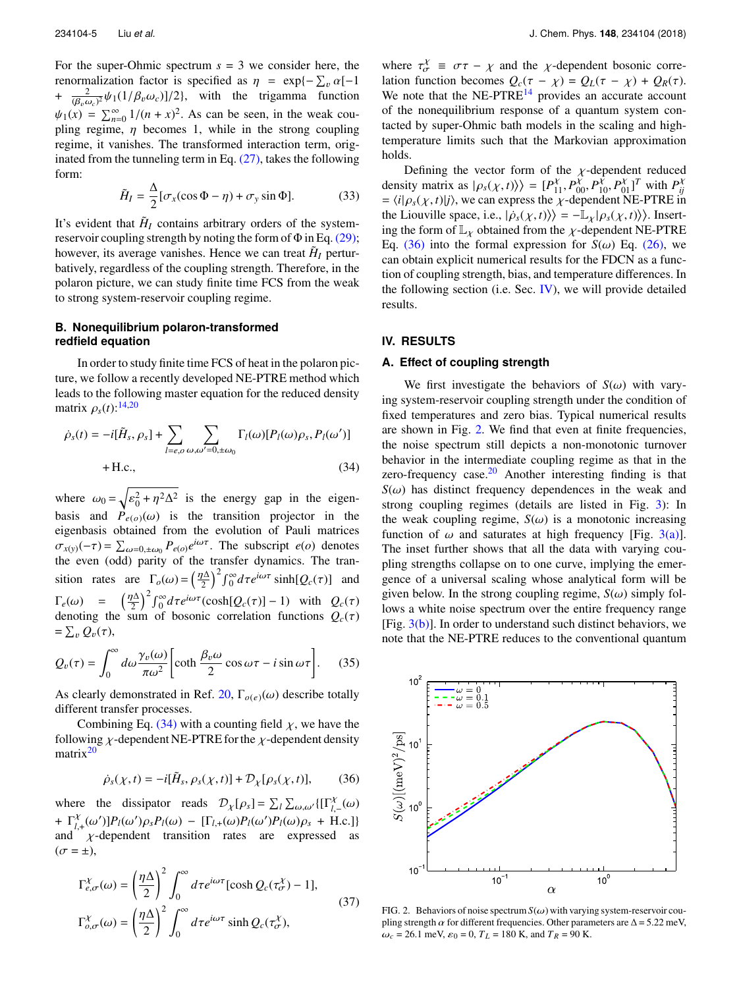For the super-Ohmic spectrum  $s = 3$  we consider here, the renormalization factor is specified as  $\eta = \exp\{-\sum_{v} \alpha[-1 + \frac{2}{v^2} + \frac{2}{v^2} + \frac{2}{v^2} + \frac{2}{v^2} + \frac{2}{v^2} + \frac{2}{v^2} + \frac{2}{v^2} + \frac{2}{v^2} + \frac{2}{v^2} + \frac{2}{v^2} + \frac{2}{v^2} + \frac{2}{v^2} + \frac{2}{v^2} + \frac{2}{v^2} + \frac{2}{v^2} + \frac{2}{v^2} + \frac{2$ +  $\frac{2}{(\omega_c)^2} \psi_1(1/\beta_v \omega_c)$ ]/2}, with the trigamma function  $(\beta_v \omega_c)$ <br>  $\rightarrow$  $\psi_1(x) = \sum_{n=0}^{\infty} 1/(n + x)^2$ . As can be seen, in the weak coupling regime,  $\eta$  becomes 1, while in the strong coupling regime, it vanishes. The transformed interaction term, originated from the tunneling term in Eq.  $(27)$ , takes the following form:

$$
\tilde{H}_I = \frac{\Delta}{2} [\sigma_x(\cos \Phi - \eta) + \sigma_y \sin \Phi].
$$
 (33)

It's evident that  $\tilde{H}_I$  contains arbitrary orders of the systemreservoir coupling strength by noting the form of  $\Phi$  in Eq. [\(29\);](#page-4-3) however, its average vanishes. Hence we can treat  $\tilde{H}_I$  perturbatively, regardless of the coupling strength. Therefore, in the polaron picture, we can study finite time FCS from the weak to strong system-reservoir coupling regime.

# **B. Nonequilibrium polaron-transformed redfield equation**

In order to study finite time FCS of heat in the polaron picture, we follow a recently developed NE-PTRE method which leads to the following master equation for the reduced density matrix  $\rho_s(t)$ :<sup>[14,](#page-10-24)[20](#page-10-25)</sup>

$$
\dot{\rho}_s(t) = -i[\tilde{H}_s, \rho_s] + \sum_{l=e, o} \sum_{\omega, \omega'=0, \pm \omega_0} \Gamma_l(\omega) [P_l(\omega) \rho_s, P_l(\omega')]
$$
  
+ H.c., (34)

where  $\omega_0 = \sqrt{\epsilon_0^2 + \eta^2 \Delta^2}$  is the energy gap in the eigenbasis and  $P_{e(0)}(\omega)$  is the transition projector in the exclusion of Pauli matrices eigenbasis obtained from the evolution of Pauli matrices  $\sigma_{x(y)}(-\tau) = \sum_{\omega=0,\pm\omega_0} P_{e(\omega)}e^{i\omega\tau}$ . The subscript *e*(*o*) denotes the even (odd) parity of the transfer dynamics. The tranthe even (odd) parity of the transfer dynamics. The transition rates are  $\Gamma_o(\omega) = \left(\frac{\eta \Delta}{2}\right)^2 \int_0^\infty d\tau e^{i\omega \tau} \sinh[Q_c(\tau)]$  and  $\Gamma_e(\omega) = \left(\frac{\eta \Delta}{2}\right)^2 \int_0^\infty d\tau e^{i\omega \tau} (\cosh[Q_c(\tau)] - 1)$  with  $Q_c(\tau)$ <br>denoting the sum of bosonic correlation functions  $Q_c(\tau)$ denoting the sum of bosonic correlation functions  $Q_c(\tau)$  $=\sum_{v}Q_{v}(\tau),$ "

$$
Q_v(\tau) = \int_0^\infty d\omega \frac{\gamma_v(\omega)}{\pi \omega^2} \left[ \coth \frac{\beta_v \omega}{2} \cos \omega \tau - i \sin \omega \tau \right]. \quad (35)
$$

As clearly demonstrated in Ref. [20,](#page-10-25)  $\Gamma_{o(e)}(\omega)$  describe totally different transfer processes.

Combining Eq. [\(34\)](#page-5-1) with a counting field  $\chi$ , we have the following  $\chi$ -dependent NE-PTRE for the  $\chi$ -dependent density matrix<sup>[20](#page-10-25)</sup>

<span id="page-5-2"></span>
$$
\dot{\rho}_s(\chi, t) = -i[\tilde{H}_s, \rho_s(\chi, t)] + \mathcal{D}_{\chi}[\rho_s(\chi, t)],\tag{36}
$$

where the dissipator reads  $\mathcal{D}_\chi[\rho_s] = \sum_l \sum_{\omega,\omega'} \{[\Gamma^{\chi}_{l,-}(\omega) \}$ +  $\Gamma_{l,+}^{X}(\omega')P_{l}(\omega')\rho_{s}P_{l}(\omega) - [\Gamma_{l,+}(\omega)P_{l}(\omega')P_{l}(\omega)\rho_{s} + \text{H.c.}]\}$ and  $\chi$ -dependent transition rates are expressed as  $(\sigma = \pm),$ 

$$
\Gamma_{e,\sigma}^{\chi}(\omega) = \left(\frac{\eta \Delta}{2}\right)^2 \int_0^{\infty} d\tau e^{i\omega \tau} [\cosh Q_c(\tau_{\sigma}^{\chi}) - 1],
$$
\n
$$
\Gamma_{o,\sigma}^{\chi}(\omega) = \left(\frac{\eta \Delta}{2}\right)^2 \int_0^{\infty} d\tau e^{i\omega \tau} \sinh Q_c(\tau_{\sigma}^{\chi}),
$$
\n(37)

where  $\tau_{\sigma}^x \equiv \sigma \tau - \chi$  and the  $\chi$ -dependent bosonic corre-<br>lation function becomes  $Q(\tau - \chi) - Q_1(\tau - \chi) + Q_2(\tau)$ lation function becomes  $Q_c(\tau - \chi) = Q_L(\tau - \chi) + Q_R(\tau)$ . We note that the  $NE-PTRE<sup>14</sup>$  $NE-PTRE<sup>14</sup>$  $NE-PTRE<sup>14</sup>$  provides an accurate account of the nonequilibrium response of a quantum system contacted by super-Ohmic bath models in the scaling and hightemperature limits such that the Markovian approximation holds.

Defining the vector form of the *χ*-dependent reduced<br>ity matrix as  $|o((x,t))| = [P^{\chi} P^{\chi}]^p P^{\chi} P^{\chi} P^{\chi}$ density matrix as  $|\rho_s(\chi, t)\rangle$  =  $[P_{11}^X, P_{00}^X, P_{10}^X, P_{01}^X]^T$  with  $P_{ij}^X = \langle i|\rho_s(\chi, t)|j\rangle$ , we can express the  $\chi$ -dependent NE-PTRE in the Liquidule space i.e.  $|\dot{\rho}(x, t)\rangle$  –  $-\mathbb{I}$ ,  $|\rho(s, t)\rangle$ ). Insertthe Liouville space, i.e.,  $|\dot{\rho}_s(\chi, t)\rangle = -L_{\chi}|\rho_s(\chi, t)\rangle$ . Insert-<br>ing the form of  $\mathbb{I}$  obtained from the v-dependent NE-PTRE ing the form of  $\mathbb{L}_{\chi}$  obtained from the  $\chi$ -dependent NE-PTRE Eq. [\(36\)](#page-5-2) into the formal expression for  $S(\omega)$  Eq. [\(26\),](#page-4-4) we can obtain explicit numerical results for the FDCN as a function of coupling strength, bias, and temperature differences. In the following section (i.e. Sec.  $IV$ ), we will provide detailed results.

#### <span id="page-5-0"></span>**IV. RESULTS**

#### **A. Effect of coupling strength**

<span id="page-5-1"></span>We first investigate the behaviors of  $S(\omega)$  with varying system-reservoir coupling strength under the condition of fixed temperatures and zero bias. Typical numerical results are shown in Fig. [2.](#page-5-3) We find that even at finite frequencies, the noise spectrum still depicts a non-monotonic turnover behavior in the intermediate coupling regime as that in the zero-frequency case. $20$  Another interesting finding is that  $S(\omega)$  has distinct frequency dependences in the weak and strong coupling regimes (details are listed in Fig. [3\)](#page-6-0): In the weak coupling regime,  $S(\omega)$  is a monotonic increasing function of  $\omega$  and saturates at high frequency [Fig. [3\(a\)\]](#page-6-0). The inset further shows that all the data with varying coupling strengths collapse on to one curve, implying the emergence of a universal scaling whose analytical form will be given below. In the strong coupling regime,  $S(\omega)$  simply follows a white noise spectrum over the entire frequency range [Fig.  $3(b)$ ]. In order to understand such distinct behaviors, we note that the NE-PTRE reduces to the conventional quantum

<span id="page-5-3"></span>

FIG. 2. Behaviors of noise spectrum  $S(\omega)$  with varying system-reservoir coupling strength  $\alpha$  for different frequencies. Other parameters are  $\Delta$  = 5.22 meV,  $\omega_c = 26.1$  meV,  $\varepsilon_0 = 0$ ,  $T_L = 180$  K, and  $T_R = 90$  K.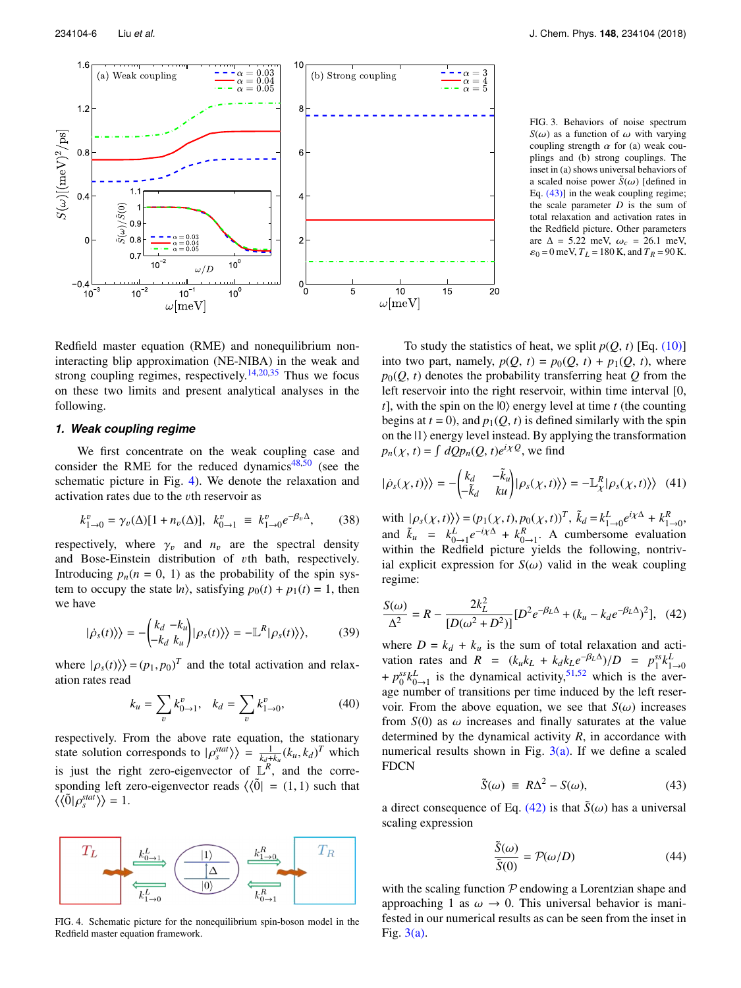<span id="page-6-0"></span>

FIG. 3. Behaviors of noise spectrum  $S(\omega)$  as a function of  $\omega$  with varying coupling strength  $\alpha$  for (a) weak couplings and (b) strong couplings. The inset in (a) shows universal behaviors of a scaled noise power  $\tilde{S}(\omega)$  [defined in Eq. [\(43\)\]](#page-6-1) in the weak coupling regime; the scale parameter *D* is the sum of total relaxation and activation rates in the Redfield picture. Other parameters are  $\Delta = 5.22$  meV,  $\omega_c = 26.1$  meV,  $\varepsilon_0 = 0$  meV,  $T_L = 180$  K, and  $T_R = 90$  K.

Redfield master equation (RME) and nonequilibrium noninteracting blip approximation (NE-NIBA) in the weak and strong coupling regimes, respectively.<sup>[14,](#page-10-24)[20](#page-10-25)[,35](#page-10-41)</sup> Thus we focus on these two limits and present analytical analyses in the following.

# *1. Weak coupling regime*

We first concentrate on the weak coupling case and consider the RME for the reduced dynamics $48,50$  $48,50$  (see the schematic picture in Fig. [4\)](#page-6-2). We denote the relaxation and activation rates due to the vth reservoir as

<span id="page-6-5"></span>
$$
k_{1\to 0}^v = \gamma_v(\Delta)[1 + n_v(\Delta)], \ \ k_{0\to 1}^v \ \equiv \ k_{1\to 0}^v e^{-\beta_v \Delta}, \tag{38}
$$

respectively, where  $\gamma_v$  and  $n_v$  are the spectral density and Bose-Einstein distribution of vth bath, respectively. Introducing  $p_n(n = 0, 1)$  as the probability of the spin system to occupy the state  $|n\rangle$ , satisfying  $p_0(t) + p_1(t) = 1$ , then we have

<span id="page-6-4"></span>
$$
|\dot{\rho}_s(t)\rangle\rangle = -\begin{pmatrix} k_d - k_u \\ -k_d \ k_u \end{pmatrix} |\rho_s(t)\rangle\rangle = -\mathbb{L}^R |\rho_s(t)\rangle\rangle, \tag{39}
$$

where  $|\rho_s(t)\rangle$  =  $(p_1, p_0)^T$  and the total activation and relaxation rates read

$$
k_u = \sum_v k_{0 \to 1}^v, \quad k_d = \sum_v k_{1 \to 0}^v,
$$
 (40)

respectively. From the above rate equation, the stationary state solution corresponds to  $|\rho_s^{stat}\rangle = \frac{1}{k_d+k_u}(k_u, k_d)^T$  which is just the right zero-eigenvector of  $\mathbb{L}^R$ , and the corresponding left zero-eigenvector reads  $\langle\langle \tilde{0}| = (1, 1) \rangle$  such that  $\langle \langle \tilde{0} | \rho_s^{stat} \rangle \rangle = 1.$ 

<span id="page-6-2"></span>

FIG. 4. Schematic picture for the nonequilibrium spin-boson model in the Redfield master equation framework.

To study the statistics of heat, we split  $p(Q, t)$  [Eq. [\(10\)\]](#page-3-0) into two part, namely,  $p(Q, t) = p_0(Q, t) + p_1(Q, t)$ , where  $p_0(Q, t)$  denotes the probability transferring heat  $Q$  from the left reservoir into the right reservoir, within time interval [0,  $t$ ], with the spin on the  $|0\rangle$  energy level at time  $t$  (the counting begins at  $t = 0$ ), and  $p_1(Q, t)$  is defined similarly with the spin on the  $|1\rangle$  energy level instead. By applying the transformation  $p_n(\chi, t) = \int dQp_n(Q, t)e^{i\chi Q},$  we find

$$
|\dot{\rho}_s(\chi, t)\rangle\rangle = -\begin{pmatrix} k_d & -\tilde{k}_u \\ -\tilde{k}_d & ku \end{pmatrix} |\rho_s(\chi, t)\rangle\rangle = -\mathbb{L}^R_\chi |\rho_s(\chi, t)\rangle\rangle \quad (41)
$$

with  $|\rho_s(\chi, t)\rangle = (p_1(\chi, t), p_0(\chi, t))^T$ ,  $\tilde{k}_d = k_{1\to 0}^L e^{i\chi\Delta} + k_{1\to 0}^R$ and  $\tilde{k}_u = k_{0 \to 1}^L e^{-i\chi \Delta} + k_{0 \to 1}^R$ . A cumbersome evaluation within the Redfield picture yields the following, nontrivial explicit expression for  $S(\omega)$  valid in the weak coupling regime:

<span id="page-6-3"></span>
$$
\frac{S(\omega)}{\Delta^2} = R - \frac{2k_L^2}{[D(\omega^2 + D^2)]} [D^2 e^{-\beta_L \Delta} + (k_u - k_d e^{-\beta_L \Delta})^2], \quad (42)
$$

where  $D = k_d + k_u$  is the sum of total relaxation and activation rates and  $R = (k_u k_L + k_d k_L e^{-\beta_L \Delta})/D = p_1^{ss} k_{L\to 0}^L$ <br>  $\frac{1}{2} m_s^{ss} k_L^L$  is the dynamical estimity 51.52 which is the successive  $+p_0^{ss}k_{0\rightarrow 1}^L$  is the dynamical activity,<sup>[51,](#page-11-4)[52](#page-11-5)</sup> which is the average number of transitions per time induced by the left reservoir. From the above equation, we see that  $S(\omega)$  increases from  $S(0)$  as  $\omega$  increases and finally saturates at the value determined by the dynamical activity *R*, in accordance with numerical results shown in Fig.  $3(a)$ . If we define a scaled FDCN

<span id="page-6-1"></span>
$$
\tilde{S}(\omega) \equiv R\Delta^2 - S(\omega),\tag{43}
$$

a direct consequence of Eq. [\(42\)](#page-6-3) is that  $\tilde{S}(\omega)$  has a universal scaling expression

<span id="page-6-6"></span>
$$
\frac{\tilde{S}(\omega)}{\tilde{S}(0)} = \mathcal{P}(\omega/D) \tag{44}
$$

with the scaling function  $P$  endowing a Lorentzian shape and approaching 1 as  $\omega \rightarrow 0$ . This universal behavior is manifested in our numerical results as can be seen from the inset in Fig. [3\(a\).](#page-6-0)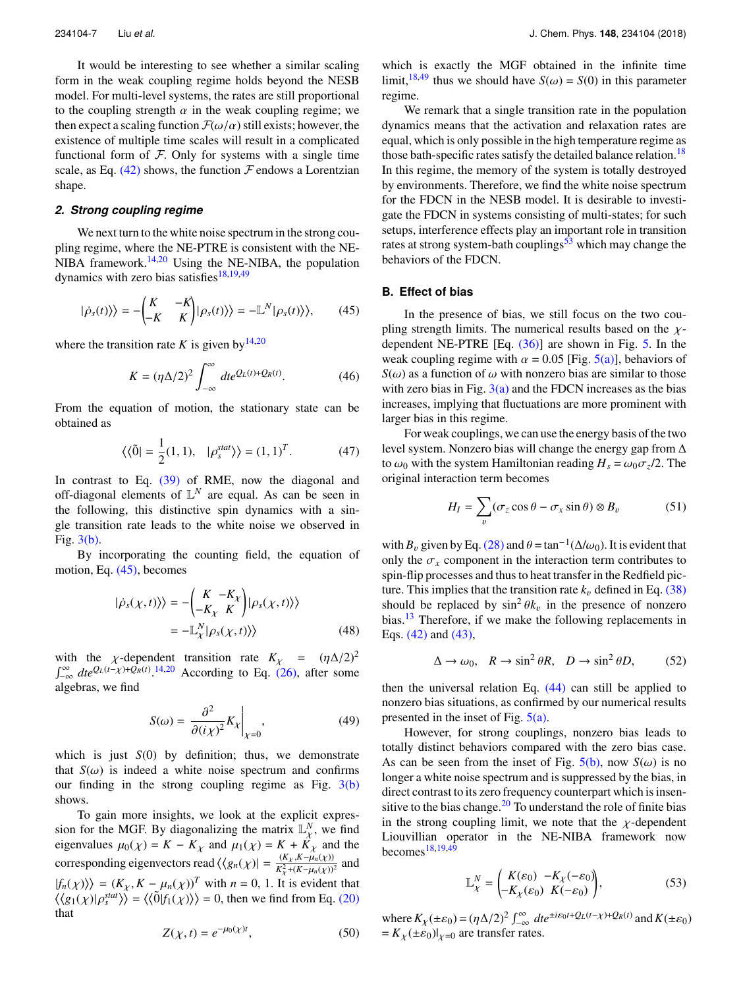It would be interesting to see whether a similar scaling form in the weak coupling regime holds beyond the NESB model. For multi-level systems, the rates are still proportional to the coupling strength  $\alpha$  in the weak coupling regime; we then expect a scaling function  $\mathcal{F}(\omega/\alpha)$  still exists; however, the existence of multiple time scales will result in a complicated functional form of  $F$ . Only for systems with a single time scale, as Eq.  $(42)$  shows, the function F endows a Lorentzian shape.

#### *2. Strong coupling regime*

We next turn to the white noise spectrum in the strong coupling regime, where the NE-PTRE is consistent with the NE-NIBA framework. $14,20$  $14,20$  Using the NE-NIBA, the population dynamics with zero bias satisfies $18,19,49$  $18,19,49$  $18,19,49$ 

<span id="page-7-0"></span>
$$
|\dot{\rho}_s(t)\rangle\rangle = -\begin{pmatrix} K & -K \\ -K & K \end{pmatrix} |\rho_s(t)\rangle\rangle = -\mathbb{L}^N |\rho_s(t)\rangle\rangle, \qquad (45)
$$

where the transition rate *K* is given by  $14,20$  $14,20$ 

$$
K = (\eta \Delta/2)^2 \int_{-\infty}^{\infty} dt e^{Q_L(t) + Q_R(t)}.
$$
 (46)

From the equation of motion, the stationary state can be obtained as

$$
\langle \langle \tilde{0} | = \frac{1}{2} (1, 1), \quad |\rho_s^{stat} \rangle \rangle = (1, 1)^T. \tag{47}
$$

In contrast to Eq. [\(39\)](#page-6-4) of RME, now the diagonal and off-diagonal elements of  $\mathbb{L}^N$  are equal. As can be seen in the following, this distinctive spin dynamics with a single transition rate leads to the white noise we observed in Fig. [3\(b\).](#page-6-0)

By incorporating the counting field, the equation of motion, Eq. [\(45\),](#page-7-0) becomes

$$
|\dot{\rho}_s(\chi, t)\rangle\rangle = -\begin{pmatrix} K & -K_X \\ -K_X & K \end{pmatrix} |\rho_s(\chi, t)\rangle\rangle
$$
  
= -\mathbb{L}^N\_{\chi} |\rho\_s(\chi, t)\rangle (48)

with the *χ*-dependent transition rate  $K_{\chi} = (\eta \Delta/2)^2$ <br> $\int_{-\infty}^{\infty} dt e^{Q_L(t-\chi)+Q_R(t)}$ .<sup>[14](#page-10-24)[,20](#page-10-25)</sup> According to Eq. [\(26\),](#page-4-4) after some algebras, we find

$$
S(\omega) = \left. \frac{\partial^2}{\partial (i\chi)^2} K_\chi \right|_{\chi=0},\tag{49}
$$

which is just *S*(0) by definition; thus, we demonstrate that  $S(\omega)$  is indeed a white noise spectrum and confirms our finding in the strong coupling regime as Fig.  $3(b)$ shows.

To gain more insights, we look at the explicit expression for the MGF. By diagonalizing the matrix  $\mathbb{L}_{Y}^{N}$  $\chi^N$ , we find<br> $\chi^N$  and the eigenvalues  $\mu_0(\chi) = K - K_{\chi}$  and  $\mu_1(\chi) = K + \dot{K}_{\chi}$  and the corresponding eigenvectors read  $\langle\langle g_n(\chi)\rangle| = \frac{(K_{\chi}, K - \mu_n(\chi))^2}{K_{\chi}^2 + (K - \mu_n(\chi))^2}$  and  $|f_n(\chi)\rangle = (K_{\chi}, K - \mu_n(\chi))^T$  with  $n = 0, 1$ . It is evident that  $\langle f_n(\chi) | \frac{\partial f}{\partial \chi} \rangle = \frac{\partial f}{\partial \chi} \frac{\partial f}{\partial \chi}$  is evident that  $\langle \langle g_1(\chi) | \rho_s^{stat} \rangle \rangle = \langle \langle \tilde{0} | f_1(\chi) \rangle \rangle = 0$ , then we find from Eq. [\(20\)](#page-4-5) that

which is exactly the MGF obtained in the infinite time limit,<sup>[18,](#page-10-19)[49](#page-11-2)</sup> thus we should have  $S(\omega) = S(0)$  in this parameter regime.

We remark that a single transition rate in the population dynamics means that the activation and relaxation rates are equal, which is only possible in the high temperature regime as those bath-specific rates satisfy the detailed balance relation.<sup>[18](#page-10-19)</sup> In this regime, the memory of the system is totally destroyed by environments. Therefore, we find the white noise spectrum for the FDCN in the NESB model. It is desirable to investigate the FDCN in systems consisting of multi-states; for such setups, interference effects play an important role in transition rates at strong system-bath couplings $53$  which may change the behaviors of the FDCN.

# **B. Effect of bias**

In the presence of bias, we still focus on the two coupling strength limits. The numerical results based on the  $\chi$ dependent NE-PTRE  $[Eq. (36)]$  $[Eq. (36)]$  are shown in Fig. [5.](#page-8-0) In the weak coupling regime with  $\alpha = 0.05$  [Fig. [5\(a\)\]](#page-8-0), behaviors of  $S(\omega)$  as a function of  $\omega$  with nonzero bias are similar to those with zero bias in Fig.  $3(a)$  and the FDCN increases as the bias increases, implying that fluctuations are more prominent with larger bias in this regime.

For weak couplings, we can use the energy basis of the two level system. Nonzero bias will change the energy gap from ∆ to  $\omega_0$  with the system Hamiltonian reading  $H_s = \omega_0 \sigma_z/2$ . The original interaction term becomes original interaction term becomes

$$
H_I = \sum_{v} (\sigma_z \cos \theta - \sigma_x \sin \theta) \otimes B_v \tag{51}
$$

with  $B_\nu$  given by Eq. [\(28\)](#page-4-6) and  $\theta = \tan^{-1}(\Delta/\omega_0)$ . It is evident that only the  $\sigma$ , component in the interaction term contributes to only the  $\sigma_x$  component in the interaction term contributes to spin-flip processes and thus to heat transfer in the Redfield picture. This implies that the transition rate  $k_v$  defined in Eq. [\(38\)](#page-6-5) should be replaced by  $\sin^2 \theta k_v$  in the presence of nonzero<br>hise <sup>13</sup> Therefore if we make the following replacements in bias.<sup>[13](#page-10-8)</sup> Therefore, if we make the following replacements in Eqs. [\(42\)](#page-6-3) and [\(43\),](#page-6-1)

<span id="page-7-1"></span>
$$
\Delta \to \omega_0, \quad R \to \sin^2 \theta R, \quad D \to \sin^2 \theta D, \tag{52}
$$

then the universal relation Eq. [\(44\)](#page-6-6) can still be applied to nonzero bias situations, as confirmed by our numerical results presented in the inset of Fig.  $5(a)$ .

However, for strong couplings, nonzero bias leads to totally distinct behaviors compared with the zero bias case. As can be seen from the inset of Fig.  $5(b)$ , now  $S(\omega)$  is no longer a white noise spectrum and is suppressed by the bias, in direct contrast to its zero frequency counterpart which is insensitive to the bias change. $^{20}$  $^{20}$  $^{20}$  To understand the role of finite bias in the strong coupling limit, we note that the  $\chi$ -dependent Liouvillian operator in the NE-NIBA framework now becomes  $18,19,49$  $18,19,49$  $18,19,49$ 

$$
\mathbb{L}_{\chi}^{N} = \begin{pmatrix} K(\varepsilon_{0}) & -K_{\chi}(-\varepsilon_{0}) \\ -K_{\chi}(\varepsilon_{0}) & K(-\varepsilon_{0}) \end{pmatrix}, \tag{53}
$$

where  $K_\chi(\pm \varepsilon_0) = (\eta \Delta/2)^2 \int_{-\infty}^{\infty} dt e^{\pm i\varepsilon_0 t + Q_L(t-\chi) + Q_R(t)}$  and  $K(\pm \varepsilon_0)$ <br>=  $K_\chi(\pm \varepsilon_0)$  are transfer rates  $= K_{\chi}(\pm \varepsilon_0)|_{\chi=0}$  are transfer rates.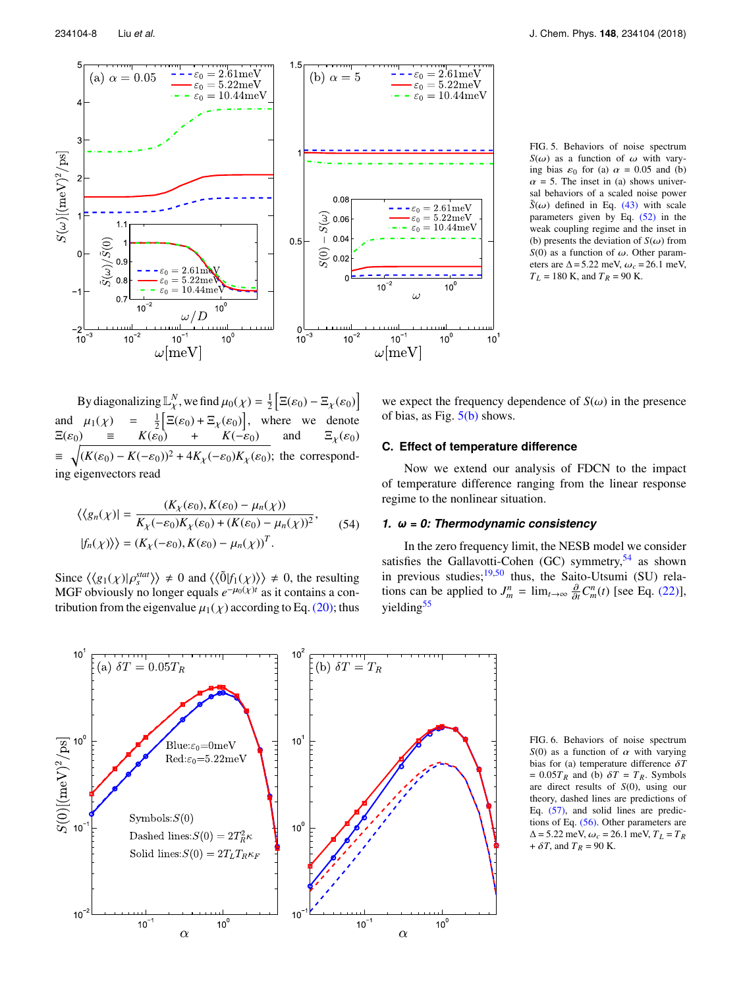<span id="page-8-0"></span>

FIG. 5. Behaviors of noise spectrum *S*( $\omega$ ) as a function of  $\omega$  with varying bias  $\varepsilon_0$  for (a)  $\alpha = 0.05$  and (b)  $\alpha$  = 5. The inset in (a) shows universal behaviors of a scaled noise power  $\tilde{S}(\omega)$  defined in Eq. [\(43\)](#page-6-1) with scale parameters given by Eq. [\(52\)](#page-7-1) in the weak coupling regime and the inset in (b) presents the deviation of  $S(\omega)$  from  $S(0)$  as a function of  $\omega$ . Other parameters are  $\Delta$  = 5.22 meV,  $\omega_c$  = 26.1 meV,  $T_L = 180$  K, and  $T_R = 90$  K.

By diagonalizing  $\mathbb{L}^N_\chi$ , we find  $\mu_0(\chi) = \frac{1}{2}$ and  $\mu_1(\chi) = \frac{1}{2} \Big[ \overline{\Xi}(\varepsilon_0) + \overline{\Xi}_\chi(\varepsilon_0) \Big]$ , where we denote f  $\Xi(\varepsilon_0) - \Xi_\chi(\varepsilon_0)$ g  $\mathbb{L}_\chi$ , we find  $\mu_0(\chi)$  $\Xi(\varepsilon_0)$  =  $K(\varepsilon_0)$  +  $K(-\varepsilon_0)$  and  $\Xi_\chi(\varepsilon_0)$  $\equiv \sqrt{(K(\varepsilon_0) - K(-\varepsilon_0))^2 + 4K_\chi(-\varepsilon_0)K_\chi(\varepsilon_0)}$ ; the corresponding eigenvectors read

$$
\langle \langle g_n(\chi) | = \frac{(K_\chi(\varepsilon_0), K(\varepsilon_0) - \mu_n(\chi))}{K_\chi(-\varepsilon_0)K_\chi(\varepsilon_0) + (K(\varepsilon_0) - \mu_n(\chi))^2},
$$
\n
$$
|f_n(\chi)\rangle = (K_\chi(-\varepsilon_0), K(\varepsilon_0) - \mu_n(\chi))^T.
$$
\n(54)

Since  $\langle \langle g_1(\chi) | \rho_s^{stat} \rangle \rangle \neq 0$  and  $\langle \langle \tilde{0} | f_1(\chi) \rangle \rangle \neq 0$ , the resulting MGE obviously no longer equals  $e^{-\mu_0(\chi)t}$  as it contains a con-MGF obviously no longer equals  $e^{-\mu_0(\chi)t}$  as it contains a contribution from the eigenvalue  $\mu_1(\chi)$  according to Eq. [\(20\);](#page-4-5) thus we expect the frequency dependence of  $S(\omega)$  in the presence of bias, as Fig. [5\(b\)](#page-8-0) shows.

#### **C. Effect of temperature difference**

Now we extend our analysis of FDCN to the impact of temperature difference ranging from the linear response regime to the nonlinear situation.

# *1. ω = 0: Thermodynamic consistency*

In the zero frequency limit, the NESB model we consider satisfies the Gallavotti-Cohen (GC) symmetry,  $54$  as shown in previous studies; $19,50$  $19,50$  thus, the Saito-Utsumi (SU) relations can be applied to  $J_m^n = \lim_{t \to \infty} \frac{\partial}{\partial t} C_m^n(t)$  [see Eq. [\(22\)\]](#page-4-7), yielding $55$ 

<span id="page-8-1"></span>

FIG. 6. Behaviors of noise spectrum  $S(0)$  as a function of  $\alpha$  with varying bias for (a) temperature difference δ*<sup>T</sup>*  $= 0.05T_R$  and (b)  $\delta T = T_R$ . Symbols are direct results of *S*(0), using our theory, dashed lines are predictions of Eq. [\(57\),](#page-9-1) and solid lines are predictions of Eq. [\(56\).](#page-9-2) Other parameters are  $\Delta = 5.22$  meV,  $\omega_c = 26.1$  meV,  $T_L = T_R$  $+ \delta T$ , and  $T_R = 90$  K.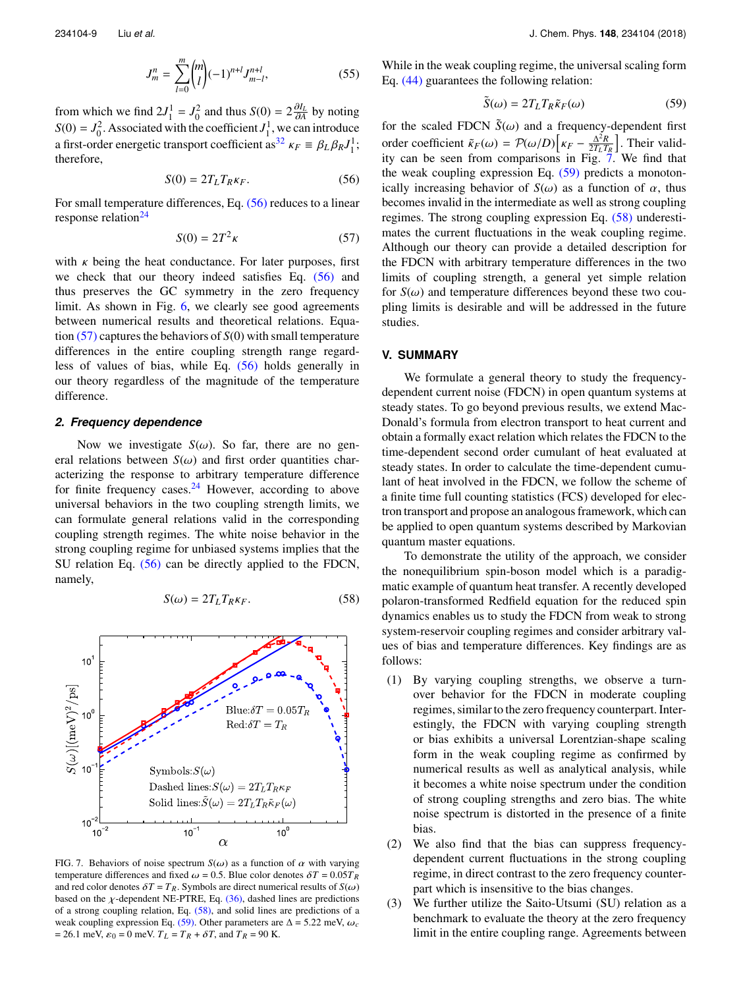$$
J_m^n = \sum_{l=0}^m \binom{m}{l} (-1)^{n+l} J_{m-l}^{n+l},\tag{55}
$$

from which we find  $2J_1^1 = J_0^2$  and thus  $S(0) = 2\frac{\partial I_L}{\partial A}$  by noting  $S(0) = J_0^2$ . Associated with the coefficient  $J_1^1$ , we can introduce a first-order energetic transport coefficient as<sup>[32](#page-10-43)</sup>  $\kappa_F \equiv \beta_L \beta_R J_1^1$ ; therefore,

<span id="page-9-2"></span>
$$
S(0) = 2T_L T_R \kappa_F. \tag{56}
$$

For small temperature differences, Eq. [\(56\)](#page-9-2) reduces to a linear response relation $^{24}$  $^{24}$  $^{24}$ 

<span id="page-9-1"></span>
$$
S(0) = 2T^2 \kappa \tag{57}
$$

with  $\kappa$  being the heat conductance. For later purposes, first we check that our theory indeed satisfies Eq. [\(56\)](#page-9-2) and thus preserves the GC symmetry in the zero frequency limit. As shown in Fig. [6,](#page-8-1) we clearly see good agreements between numerical results and theoretical relations. Equation [\(57\)](#page-9-1) captures the behaviors of *S*(0) with small temperature differences in the entire coupling strength range regardless of values of bias, while Eq. [\(56\)](#page-9-2) holds generally in our theory regardless of the magnitude of the temperature difference.

#### *2. Frequency dependence*

Now we investigate  $S(\omega)$ . So far, there are no general relations between  $S(\omega)$  and first order quantities characterizing the response to arbitrary temperature difference for finite frequency cases. $24$  However, according to above universal behaviors in the two coupling strength limits, we can formulate general relations valid in the corresponding coupling strength regimes. The white noise behavior in the strong coupling regime for unbiased systems implies that the SU relation Eq. [\(56\)](#page-9-2) can be directly applied to the FDCN, namely,

<span id="page-9-3"></span>
$$
S(\omega) = 2T_L T_R \kappa_F. \tag{58}
$$

<span id="page-9-5"></span>

FIG. 7. Behaviors of noise spectrum  $S(\omega)$  as a function of  $\alpha$  with varying temperature differences and fixed  $\omega = 0.5$ . Blue color denotes  $\delta T = 0.05T_R$ and red color denotes  $\delta T = T_R$ . Symbols are direct numerical results of  $S(\omega)$ based on the  $\chi$ -dependent NE-PTRE, Eq. [\(36\),](#page-5-2) dashed lines are predictions of a strong coupling relation, Eq. [\(58\),](#page-9-3) and solid lines are predictions of a weak coupling expression Eq. [\(59\).](#page-9-4) Other parameters are  $\Delta = 5.22$  meV,  $\omega_c$  $= 26.1$  meV,  $\varepsilon_0 = 0$  meV.  $T_L = T_R + \delta T$ , and  $T_R = 90$  K.

While in the weak coupling regime, the universal scaling form Eq. [\(44\)](#page-6-6) guarantees the following relation:

<span id="page-9-4"></span>
$$
\tilde{S}(\omega) = 2T_L T_R \tilde{\kappa}_F(\omega) \tag{59}
$$

for the scaled FDCN  $\tilde{S}(\omega)$  and a frequency-dependent first<br>order so fisient  $\tilde{S}(\omega) = \mathcal{D}(\omega/\mathcal{D}) \left[ \omega - \frac{\Delta^2 R}{r^2} \right]$ . Their valid order coefficient  $\tilde{\kappa}_F(\omega) = \mathcal{P}(\omega/D) \left[ \kappa_F - \frac{\Delta^2 R}{2T_L T_L} \right]$  $\frac{\Delta^2 R}{2T_L T_R}$ . Their validity can be seen from comparisons in Fig. [7.](#page-9-5) We find that the weak coupling expression Eq.  $(59)$  predicts a monotonically increasing behavior of  $S(\omega)$  as a function of  $\alpha$ , thus becomes invalid in the intermediate as well as strong coupling regimes. The strong coupling expression Eq. [\(58\)](#page-9-3) underestimates the current fluctuations in the weak coupling regime. Although our theory can provide a detailed description for the FDCN with arbitrary temperature differences in the two limits of coupling strength, a general yet simple relation for  $S(\omega)$  and temperature differences beyond these two coupling limits is desirable and will be addressed in the future studies.

#### <span id="page-9-0"></span>**V. SUMMARY**

We formulate a general theory to study the frequencydependent current noise (FDCN) in open quantum systems at steady states. To go beyond previous results, we extend Mac-Donald's formula from electron transport to heat current and obtain a formally exact relation which relates the FDCN to the time-dependent second order cumulant of heat evaluated at steady states. In order to calculate the time-dependent cumulant of heat involved in the FDCN, we follow the scheme of a finite time full counting statistics (FCS) developed for electron transport and propose an analogous framework, which can be applied to open quantum systems described by Markovian quantum master equations.

To demonstrate the utility of the approach, we consider the nonequilibrium spin-boson model which is a paradigmatic example of quantum heat transfer. A recently developed polaron-transformed Redfield equation for the reduced spin dynamics enables us to study the FDCN from weak to strong system-reservoir coupling regimes and consider arbitrary values of bias and temperature differences. Key findings are as follows:

- (1) By varying coupling strengths, we observe a turnover behavior for the FDCN in moderate coupling regimes, similar to the zero frequency counterpart. Interestingly, the FDCN with varying coupling strength or bias exhibits a universal Lorentzian-shape scaling form in the weak coupling regime as confirmed by numerical results as well as analytical analysis, while it becomes a white noise spectrum under the condition of strong coupling strengths and zero bias. The white noise spectrum is distorted in the presence of a finite bias.
- (2) We also find that the bias can suppress frequencydependent current fluctuations in the strong coupling regime, in direct contrast to the zero frequency counterpart which is insensitive to the bias changes.
- (3) We further utilize the Saito-Utsumi (SU) relation as a benchmark to evaluate the theory at the zero frequency limit in the entire coupling range. Agreements between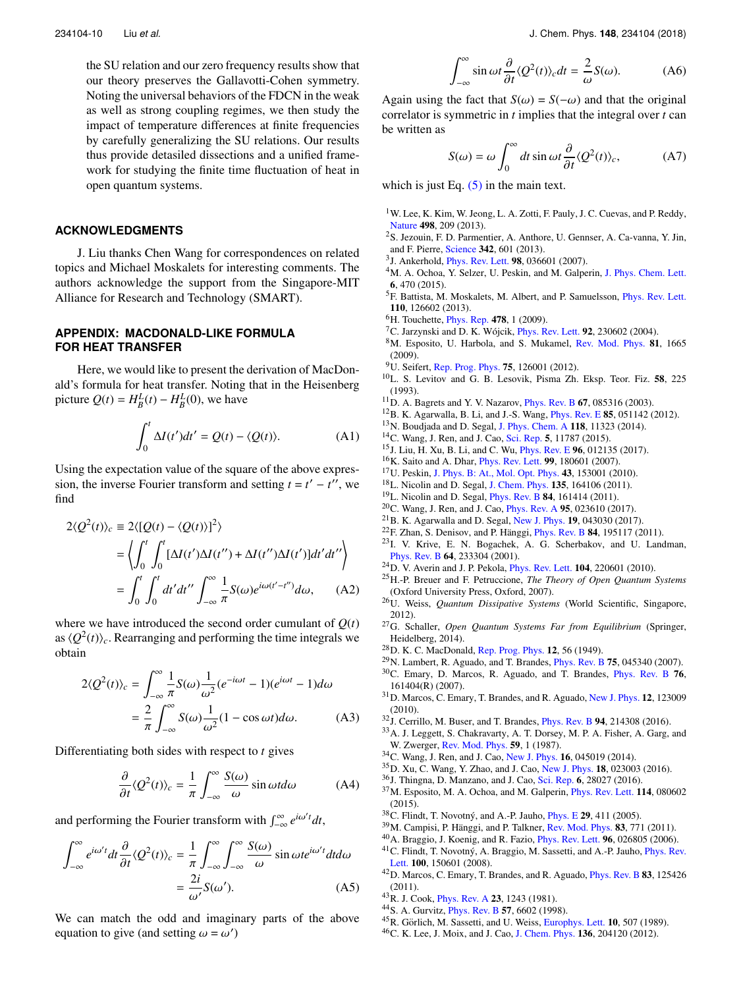the SU relation and our zero frequency results show that our theory preserves the Gallavotti-Cohen symmetry. Noting the universal behaviors of the FDCN in the weak as well as strong coupling regimes, we then study the impact of temperature differences at finite frequencies by carefully generalizing the SU relations. Our results thus provide detasiled dissections and a unified framework for studying the finite time fluctuation of heat in open quantum systems.

# **ACKNOWLEDGMENTS**

J. Liu thanks Chen Wang for correspondences on related topics and Michael Moskalets for interesting comments. The authors acknowledge the support from the Singapore-MIT Alliance for Research and Technology (SMART).

# <span id="page-10-29"></span>**APPENDIX: MACDONALD-LIKE FORMULA FOR HEAT TRANSFER**

Here, we would like to present the derivation of MacDonald's formula for heat transfer. Noting that in the Heisenberg picture  $Q(t) = H_B^L(t) - H_B^L(0)$ , we have

$$
\int_0^t \Delta I(t')dt' = Q(t) - \langle Q(t) \rangle.
$$
 (A1)

Using the expectation value of the square of the above expression, the inverse Fourier transform and setting  $t = t' - t''$ , we find

$$
2\langle Q^{2}(t)\rangle_{c} \equiv 2\langle [Q(t) - \langle Q(t)\rangle]^{2}\rangle
$$
  
=  $\left\langle \int_{0}^{t} \int_{0}^{t} [\Delta I(t')\Delta I(t'') + \Delta I(t'')\Delta I(t')]dt'dt'' \right\rangle$   
=  $\int_{0}^{t} \int_{0}^{t} dt'dt'' \int_{-\infty}^{\infty} \frac{1}{\pi} S(\omega)e^{i\omega(t'-t'')}d\omega,$  (A2)

where we have introduced the second order cumulant of  $O(t)$ as  $\langle Q^2(t)\rangle_c$ . Rearranging and performing the time integrals we obtain

$$
2\langle Q^2(t)\rangle_c = \int_{-\infty}^{\infty} \frac{1}{\pi} S(\omega) \frac{1}{\omega^2} (e^{-i\omega t} - 1)(e^{i\omega t} - 1)d\omega
$$

$$
= \frac{2}{\pi} \int_{-\infty}^{\infty} S(\omega) \frac{1}{\omega^2} (1 - \cos \omega t)d\omega.
$$
 (A3)

Differentiating both sides with respect to *t* gives

$$
\frac{\partial}{\partial t} \langle Q^2(t) \rangle_c = \frac{1}{\pi} \int_{-\infty}^{\infty} \frac{S(\omega)}{\omega} \sin \omega t d\omega \tag{A4}
$$

and performing the Fourier transform with  $\int_{-\infty}^{\infty} e^{i\omega' t} dt$ ,

$$
\int_{-\infty}^{\infty} e^{i\omega' t} dt \frac{\partial}{\partial t} \langle Q^2(t) \rangle_c = \frac{1}{\pi} \int_{-\infty}^{\infty} \int_{-\infty}^{\infty} \frac{S(\omega)}{\omega} \sin \omega t e^{i\omega' t} dt d\omega
$$

$$
= \frac{2i}{\omega'} S(\omega'). \tag{A5}
$$

We can match the odd and imaginary parts of the above equation to give (and setting  $\omega = \omega'$ )

$$
\int_{-\infty}^{\infty} \sin \omega t \frac{\partial}{\partial t} \langle Q^2(t) \rangle_c dt = \frac{2}{\omega} S(\omega). \tag{A6}
$$

Again using the fact that  $S(\omega) = S(-\omega)$  and that the original correlator is symmetric in *t* implies that the integral over *t* can correlator is symmetric in *t* implies that the integral over *t* can be written as

$$
S(\omega) = \omega \int_0^{\infty} dt \sin \omega t \frac{\partial}{\partial t} \langle Q^2(t) \rangle_c, \tag{A7}
$$

which is just Eq.  $(5)$  in the main text.

- <span id="page-10-0"></span><sup>1</sup>W. Lee, K. Kim, W. Jeong, L. A. Zotti, F. Pauly, J. C. Cuevas, and P. Reddy, [Nature](https://doi.org/10.1038/nature12183) **498**, 209 (2013).
- <sup>2</sup>S. Jezouin, F. D. Parmentier, A. Anthore, U. Gennser, A. Ca-vanna, Y. Jin, and F. Pierre, [Science](https://doi.org/10.1126/science.1241912) **342**, 601 (2013).
- 3 J. Ankerhold, [Phys. Rev. Lett.](https://doi.org/10.1103/physrevlett.98.036601) **98**, 036601 (2007).
- <span id="page-10-1"></span><sup>4</sup>M. A. Ochoa, Y. Selzer, U. Peskin, and M. Galperin, [J. Phys. Chem. Lett.](https://doi.org/10.1021/jz502484z) **6**, 470 (2015).
- <span id="page-10-2"></span><sup>5</sup>F. Battista, M. Moskalets, M. Albert, and P. Samuelsson, *[Phys. Rev. Lett.](https://doi.org/10.1103/physrevlett.110.126602)* **110**, 126602 (2013).
- <span id="page-10-3"></span><sup>6</sup>H. Touchette, [Phys. Rep.](https://doi.org/10.1016/j.physrep.2009.05.002) **478**, 1 (2009).
- <span id="page-10-4"></span><sup>7</sup>C. Jarzynski and D. K. Wójcik, *[Phys. Rev. Lett.](https://doi.org/10.1103/physrevlett.92.230602)* **92**, 230602 (2004).
- <span id="page-10-30"></span><sup>8</sup>M. Esposito, U. Harbola, and S. Mukamel, [Rev. Mod. Phys.](https://doi.org/10.1103/revmodphys.81.1665) **81**, 1665 (2009).
- <span id="page-10-5"></span><sup>9</sup>U. Seifert, [Rep. Prog. Phys.](https://doi.org/10.1088/0034-4885/75/12/126001) **75**, 126001 (2012).
- <span id="page-10-6"></span><sup>10</sup>L. S. Levitov and G. B. Lesovik, Pisma Zh. Eksp. Teor. Fiz. **58**, 225 (1993).
- <span id="page-10-37"></span><sup>11</sup>D. A. Bagrets and Y. V. Nazarov, [Phys. Rev. B](https://doi.org/10.1103/physrevb.67.085316) **67**, 085316 (2003).
- <span id="page-10-7"></span><sup>12</sup>B. K. Agarwalla, B. Li, and J.-S. Wang, [Phys. Rev. E](https://doi.org/10.1103/physreve.85.051142) **85**, 051142 (2012).
- <span id="page-10-8"></span><sup>13</sup>N. Boudjada and D. Segal, [J. Phys. Chem. A](https://doi.org/10.1021/jp5091685) **118**, 11323 (2014).
- <span id="page-10-24"></span><sup>14</sup>C. Wang, J. Ren, and J. Cao, [Sci. Rep.](https://doi.org/10.1038/srep11787) **5**, 11787 (2015).
- <span id="page-10-9"></span><sup>15</sup>J. Liu, H. Xu, B. Li, and C. Wu, [Phys. Rev. E](https://doi.org/10.1103/physreve.96.012135) **96**, 012135 (2017).
- <span id="page-10-10"></span><sup>16</sup>K. Saito and A. Dhar, [Phys. Rev. Lett.](https://doi.org/10.1103/physrevlett.99.180601) **99**, 180601 (2007).
- <sup>17</sup>U. Peskin, [J. Phys. B: At., Mol. Opt. Phys.](https://doi.org/10.1088/0953-4075/43/15/153001) **43**, 153001 (2010).
- <span id="page-10-19"></span><sup>18</sup>L. Nicolin and D. Segal, [J. Chem. Phys.](https://doi.org/10.1063/1.3655674) **135**, 164106 (2011).
- <span id="page-10-42"></span><sup>19</sup>L. Nicolin and D. Segal, [Phys. Rev. B](https://doi.org/10.1103/physrevb.84.161414) **84**, 161414 (2011). <sup>20</sup>C. Wang, J. Ren, and J. Cao, [Phys. Rev. A](https://doi.org/10.1103/physreva.95.023610) **95**, 023610 (2017).
- <span id="page-10-25"></span><span id="page-10-11"></span><sup>21</sup>B. K. Agarwalla and D. Segal, [New J. Phys.](https://doi.org/10.1088/1367-2630/aa6657) **19**, 043030 (2017).
- <span id="page-10-12"></span><sup>22</sup>F. Zhan, S. Denisov, and P. Hänggi, *[Phys. Rev. B](https://doi.org/10.1103/physrevb.84.195117)* **84**, 195117 (2011).
- <span id="page-10-13"></span><sup>23</sup>I. V. Krive, E. N. Bogachek, A. G. Scherbakov, and U. Landman, [Phys. Rev. B](https://doi.org/10.1103/physrevb.64.233304) **64**, 233304 (2001).
- <span id="page-10-14"></span><sup>24</sup>D. V. Averin and J. P. Pekola, [Phys. Rev. Lett.](https://doi.org/10.1103/physrevlett.104.220601) **104**, 220601 (2010).
- <span id="page-10-15"></span><sup>25</sup>H.-P. Breuer and F. Petruccione, *The Theory of Open Quantum Systems* (Oxford University Press, Oxford, 2007).
- <span id="page-10-22"></span><sup>26</sup>U. Weiss, *Quantum Dissipative Systems* (World Scientific, Singapore, 2012).
- <span id="page-10-16"></span><sup>27</sup>G. Schaller, *Open Quantum Systems Far from Equilibrium* (Springer, Heidelberg, 2014).
- <span id="page-10-17"></span><sup>28</sup>D. K. C. MacDonald, [Rep. Prog. Phys.](https://doi.org/10.1088/0034-4885/12/1/304) **12**, 56 (1949).
- <span id="page-10-18"></span><sup>29</sup>N. Lambert, R. Aguado, and T. Brandes, [Phys. Rev. B](https://doi.org/10.1103/physrevb.75.045340) **75**, 045340 (2007).
- <span id="page-10-20"></span><sup>30</sup>C. Emary, D. Marcos, R. Aguado, and T. Brandes, [Phys. Rev. B](https://doi.org/10.1103/physrevb.76.161404) **76**, 161404(R) (2007).
- <span id="page-10-21"></span><sup>31</sup>D. Marcos, C. Emary, T. Brandes, and R. Aguado, [New J. Phys.](https://doi.org/10.1088/1367-2630/12/12/123009) **12**, 123009 (2010).
- <span id="page-10-43"></span><sup>32</sup>J. Cerrillo, M. Buser, and T. Brandes, [Phys. Rev. B](https://doi.org/10.1103/physrevb.94.214308) **94**, 214308 (2016).
- <span id="page-10-23"></span><sup>33</sup>A. J. Leggett, S. Chakravarty, A. T. Dorsey, M. P. A. Fisher, A. Garg, and W. Zwerger, [Rev. Mod. Phys.](https://doi.org/10.1103/revmodphys.59.1) **59**, 1 (1987).
- <span id="page-10-26"></span><sup>34</sup>C. Wang, J. Ren, and J. Cao, [New J. Phys.](https://doi.org/10.1088/1367-2630/16/4/045019) **16**, 045019 (2014).
- <span id="page-10-41"></span><sup>35</sup>D. Xu, C. Wang, Y. Zhao, and J. Cao, [New J. Phys.](https://doi.org/10.1088/1367-2630/18/2/023003) **18**, 023003 (2016).
- <span id="page-10-27"></span><sup>36</sup>J. Thingna, D. Manzano, and J. Cao, [Sci. Rep.](https://doi.org/10.1038/srep28027) **6**, 28027 (2016).
- <span id="page-10-28"></span><sup>37</sup>M. Esposito, M. A. Ochoa, and M. Galperin, [Phys. Rev. Lett.](https://doi.org/10.1103/physrevlett.114.080602) **114**, 080602 (2015).
- <span id="page-10-31"></span><sup>38</sup>C. Flindt, T. Novotný, and A.-P. Jauho, *[Phys. E](https://doi.org/10.1016/j.physe.2005.05.040)* **29**, 411 (2005).
- <span id="page-10-32"></span><sup>39</sup>M. Campisi, P. Hänggi, and P. Talkner, [Rev. Mod. Phys.](https://doi.org/10.1103/revmodphys.83.771) **83**, 771 (2011).
- <span id="page-10-33"></span><sup>40</sup>A. Braggio, J. Koenig, and R. Fazio, [Phys. Rev. Lett.](https://doi.org/10.1103/physrevlett.96.026805) **96**, 026805 (2006).
- <span id="page-10-38"></span><sup>41</sup>C. Flindt, T. Novotný, A. Braggio, M. Sassetti, and A.-P. Jauho, *[Phys. Rev.](https://doi.org/10.1103/physrevlett.100.150601)* [Lett.](https://doi.org/10.1103/physrevlett.100.150601) **100**, 150601 (2008).
- <span id="page-10-34"></span><sup>42</sup>D. Marcos, C. Emary, T. Brandes, and R. Aguado, [Phys. Rev. B](https://doi.org/10.1103/physrevb.83.125426) **83**, 125426 (2011).
- <span id="page-10-35"></span><sup>43</sup>R. J. Cook, [Phys. Rev. A](https://doi.org/10.1103/physreva.23.1243) **23**, 1243 (1981).
- <span id="page-10-36"></span><sup>44</sup>S. A. Gurvitz, [Phys. Rev. B](https://doi.org/10.1103/physrevb.57.6602) **57**, 6602 (1998).
- <span id="page-10-39"></span><sup>45</sup>R. Görlich, M. Sassetti, and U. Weiss, [Europhys. Lett.](https://doi.org/10.1209/0295-5075/10/6/001) **10**, 507 (1989).
- <span id="page-10-40"></span><sup>46</sup>C. K. Lee, J. Moix, and J. Cao, [J. Chem. Phys.](https://doi.org/10.1063/1.4722336) **136**, 204120 (2012).